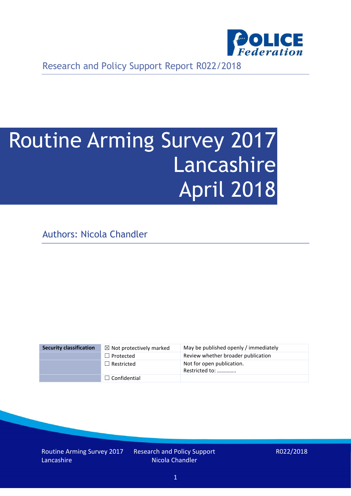

Research and Policy Support Report R022/2018

# Routine Arming Survey 2017 Lancashire April 2018

Authors: Nicola Chandler

| <b>Security classification</b> | $\boxtimes$ Not protectively marked | May be published openly / immediately       |
|--------------------------------|-------------------------------------|---------------------------------------------|
|                                | $\Box$ Protected                    | Review whether broader publication          |
|                                | $\Box$ Restricted                   | Not for open publication.<br>Restricted to: |
|                                | $\Box$ Confidential                 |                                             |

Routine Arming Survey 2017 Lancashire

Research and Policy Support Nicola Chandler

R022/2018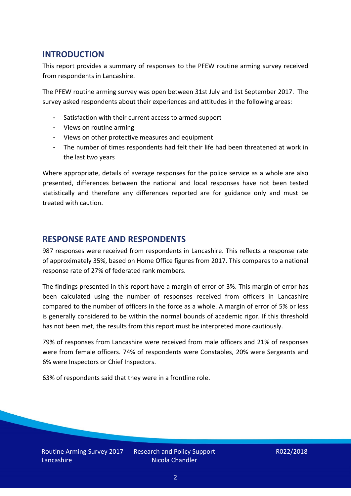## **INTRODUCTION**

This report provides a summary of responses to the PFEW routine arming survey received from respondents in Lancashire.

The PFEW routine arming survey was open between 31st July and 1st September 2017. The survey asked respondents about their experiences and attitudes in the following areas:

- Satisfaction with their current access to armed support
- Views on routine arming
- Views on other protective measures and equipment
- The number of times respondents had felt their life had been threatened at work in the last two years

Where appropriate, details of average responses for the police service as a whole are also presented, differences between the national and local responses have not been tested statistically and therefore any differences reported are for guidance only and must be treated with caution.

### **RESPONSE RATE AND RESPONDENTS**

987 responses were received from respondents in Lancashire. This reflects a response rate of approximately 35%, based on Home Office figures from 2017. This compares to a national response rate of 27% of federated rank members.

The findings presented in this report have a margin of error of 3%. This margin of error has been calculated using the number of responses received from officers in Lancashire compared to the number of officers in the force as a whole. A margin of error of 5% or less is generally considered to be within the normal bounds of academic rigor. If this threshold has not been met, the results from this report must be interpreted more cautiously.

79% of responses from Lancashire were received from male officers and 21% of responses were from female officers. 74% of respondents were Constables, 20% were Sergeants and 6% were Inspectors or Chief Inspectors.

63% of respondents said that they were in a frontline role.

Research and Policy Support Nicola Chandler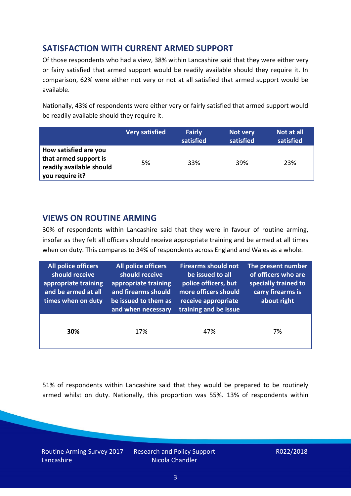# **SATISFACTION WITH CURRENT ARMED SUPPORT**

Of those respondents who had a view, 38% within Lancashire said that they were either very or fairy satisfied that armed support would be readily available should they require it. In comparison, 62% were either not very or not at all satisfied that armed support would be available.

Nationally, 43% of respondents were either very or fairly satisfied that armed support would be readily available should they require it.

|                                                                                               | Very satisfied | <b>Fairly</b><br>satisfied | Not very<br>satisfied | Not at all<br>satisfied |
|-----------------------------------------------------------------------------------------------|----------------|----------------------------|-----------------------|-------------------------|
| How satisfied are you<br>that armed support is<br>readily available should<br>you require it? | 5%             | 33%                        | 39%                   | 23%                     |

## **VIEWS ON ROUTINE ARMING**

30% of respondents within Lancashire said that they were in favour of routine arming, insofar as they felt all officers should receive appropriate training and be armed at all times when on duty. This compares to 34% of respondents across England and Wales as a whole.

| <b>All police officers</b><br>should receive<br>appropriate training<br>and be armed at all<br>times when on duty | All police officers<br>should receive<br>appropriate training<br>and firearms should<br>be issued to them as<br>and when necessary | <b>Firearms should not</b><br>be issued to all<br>police officers, but<br>more officers should<br>receive appropriate<br>training and be issue | The present number<br>of officers who are<br>specially trained to<br>carry firearms is<br>about right |
|-------------------------------------------------------------------------------------------------------------------|------------------------------------------------------------------------------------------------------------------------------------|------------------------------------------------------------------------------------------------------------------------------------------------|-------------------------------------------------------------------------------------------------------|
| 30%                                                                                                               | 17%                                                                                                                                | 47%                                                                                                                                            | 7%                                                                                                    |

51% of respondents within Lancashire said that they would be prepared to be routinely armed whilst on duty. Nationally, this proportion was 55%. 13% of respondents within

Routine Arming Survey 2017 Lancashire

Research and Policy Support Nicola Chandler

R022/2018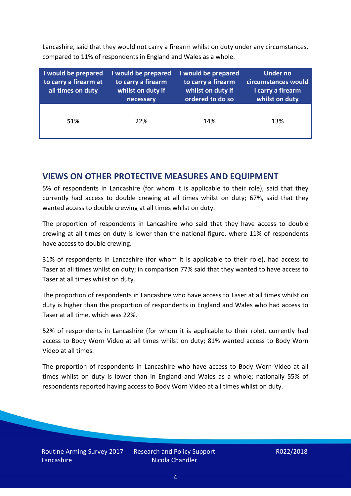Lancashire, said that they would not carry a firearm whilst on duty under any circumstances, compared to 11% of respondents in England and Wales as a whole.

| I would be prepared<br>to carry a firearm at<br>all times on duty | I would be prepared<br>to carry a firearm<br>whilst on duty if<br>necessary | I would be prepared<br>to carry a firearm<br>whilst on duty if<br>ordered to do so | Under no<br>circumstances would<br>I carry a firearm<br>whilst on duty |
|-------------------------------------------------------------------|-----------------------------------------------------------------------------|------------------------------------------------------------------------------------|------------------------------------------------------------------------|
| 51%                                                               | 22%                                                                         | 14%                                                                                | 13%                                                                    |

### **VIEWS ON OTHER PROTECTIVE MEASURES AND EQUIPMENT**

5% of respondents in Lancashire (for whom it is applicable to their role), said that they currently had access to double crewing at all times whilst on duty; 67%, said that they wanted access to double crewing at all times whilst on duty.

The proportion of respondents in Lancashire who said that they have access to double crewing at all times on duty is lower than the national figure, where 11% of respondents have access to double crewing.

31% of respondents in Lancashire (for whom it is applicable to their role), had access to Taser at all times whilst on duty; in comparison 77% said that they wanted to have access to Taser at all times whilst on duty.

The proportion of respondents in Lancashire who have access to Taser at all times whilst on duty is higher than the proportion of respondents in England and Wales who had access to Taser at all time, which was 22%.

52% of respondents in Lancashire (for whom it is applicable to their role), currently had access to Body Worn Video at all times whilst on duty; 81% wanted access to Body Worn Video at all times.

The proportion of respondents in Lancashire who have access to Body Worn Video at all times whilst on duty is lower than in England and Wales as a whole; nationally 55% of respondents reported having access to Body Worn Video at all times whilst on duty.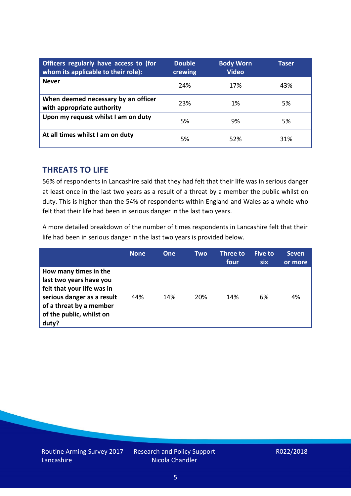| Officers regularly have access to (for<br>whom its applicable to their role): | <b>Double</b><br>crewing | <b>Body Worn</b><br><b>Video</b> | Taser |
|-------------------------------------------------------------------------------|--------------------------|----------------------------------|-------|
| <b>Never</b>                                                                  | 24%                      | 17%                              | 43%   |
| When deemed necessary by an officer<br>with appropriate authority             | 23%                      | 1%                               | 5%    |
| Upon my request whilst I am on duty                                           | 5%                       | 9%                               | 5%    |
| At all times whilst I am on duty                                              | 5%                       | 52%                              | 31%   |

#### **THREATS TO LIFE**

56% of respondents in Lancashire said that they had felt that their life was in serious danger at least once in the last two years as a result of a threat by a member the public whilst on duty. This is higher than the 54% of respondents within England and Wales as a whole who felt that their life had been in serious danger in the last two years.

A more detailed breakdown of the number of times respondents in Lancashire felt that their life had been in serious danger in the last two years is provided below.

|                                                                                                                                                                              | <b>None</b> | <b>One</b> | Two | Three to<br>four | <b>Five to</b><br>six | <b>Seven</b><br>or more |
|------------------------------------------------------------------------------------------------------------------------------------------------------------------------------|-------------|------------|-----|------------------|-----------------------|-------------------------|
| How many times in the<br>last two years have you<br>felt that your life was in<br>serious danger as a result<br>of a threat by a member<br>of the public, whilst on<br>duty? | 44%         | 14%        | 20% | 14%              | 6%                    | 4%                      |

Research and Policy Support Nicola Chandler